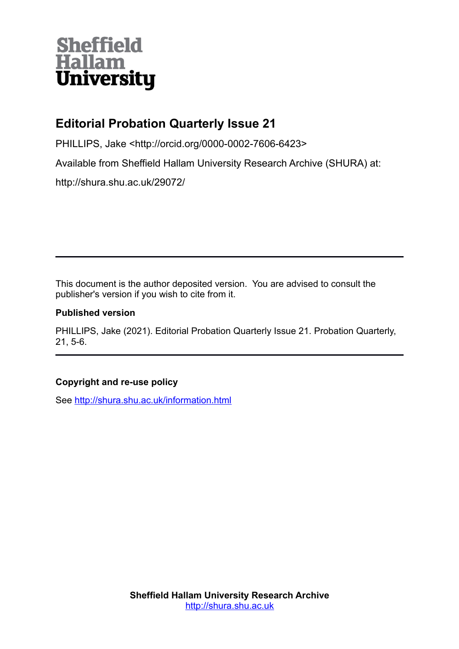# **Sheffield<br>Hallam<br>University**

## **Editorial Probation Quarterly Issue 21**

PHILLIPS, Jake <http://orcid.org/0000-0002-7606-6423>

Available from Sheffield Hallam University Research Archive (SHURA) at:

http://shura.shu.ac.uk/29072/

This document is the author deposited version. You are advised to consult the publisher's version if you wish to cite from it.

#### **Published version**

PHILLIPS, Jake (2021). Editorial Probation Quarterly Issue 21. Probation Quarterly, 21, 5-6.

### **Copyright and re-use policy**

See<http://shura.shu.ac.uk/information.html>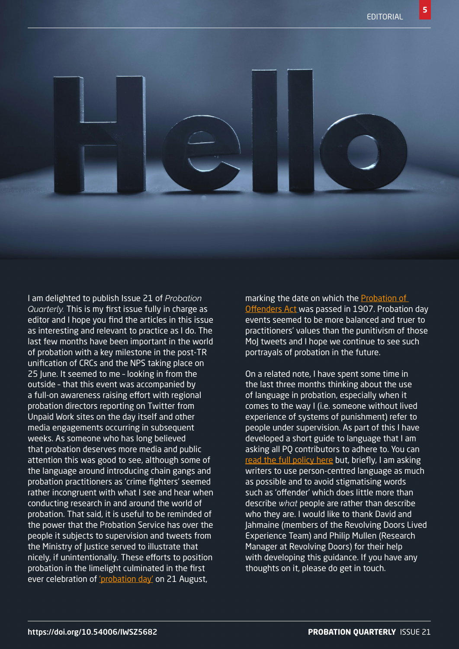**5**

I am delighted to publish Issue 21 of *Probation Quarterly.* This is my first issue fully in charge as editor and I hope you find the articles in this issue as interesting and relevant to practice as I do. The last few months have been important in the world of probation with a key milestone in the post-TR unification of CRCs and the NPS taking place on 25 June. It seemed to me – looking in from the outside – that this event was accompanied by a full-on awareness raising effort with regional probation directors reporting on Twitter from Unpaid Work sites on the day itself and other media engagements occurring in subsequent weeks. As someone who has long believed that probation deserves more media and public attention this was good to see, although some of the language around introducing chain gangs and probation practitioners as 'crime fighters' seemed rather incongruent with what I see and hear when conducting research in and around the world of probation. That said, it is useful to be reminded of the power that the Probation Service has over the people it subjects to supervision and tweets from the Ministry of Justice served to illustrate that nicely, if unintentionally. These efforts to position probation in the limelight culminated in the first ever celebration of ['probation day'](https://www.hmppsinsights.co.uk/probation-day/) on 21 August,

marking the date on which the [Probation of](https://www.legislation.gov.uk/ukpga/Edw7/7/17/enacted)  [Offenders Act](https://www.legislation.gov.uk/ukpga/Edw7/7/17/enacted) was passed in 1907. Probation day events seemed to be more balanced and truer to practitioners' values than the punitivism of those MoJ tweets and I hope we continue to see such portrayals of probation in the future.

On a related note, I have spent some time in the last three months thinking about the use of language in probation, especially when it comes to the way I (i.e. someone without lived experience of systems of punishment) refer to people under supervision. As part of this I have developed a short guide to language that I am asking all PQ contributors to adhere to. You can [read the full policy here](https://static1.squarespace.com/static/5ec3ce97a1716758c54691b7/t/60d9c35377db0f12778bd351/1624884051251/Language+policy.pdf) but, briefly, I am asking writers to use person-centred language as much as possible and to avoid stigmatising words such as 'offender' which does little more than describe *what* people are rather than describe who they are. I would like to thank David and Jahmaine (members of the Revolving Doors Lived Experience Team) and Philip Mullen (Research Manager at Revolving Doors) for their help with developing this guidance. If you have any thoughts on it, please do get in touch.